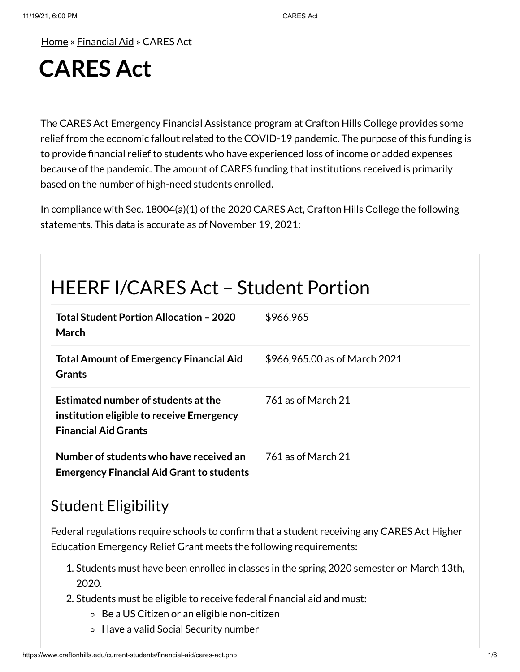[Home](https://www.craftonhills.edu/index.php) » [Financial](https://www.craftonhills.edu/current-students/financial-aid/index.php) Aid » CARES Act

# **CARES Act**

The CARES Act Emergency Financial Assistance program at Crafton Hills College provides some relief from the economic fallout related to the COVID-19 pandemic. The purpose of this funding is to provide financial relief to students who have experienced loss of income or added expenses because of the pandemic. The amount of CARES funding that institutions received is primarily based on the number of high-need students enrolled.

In compliance with Sec. 18004(a)(1) of the 2020 CARES Act, Crafton Hills College the following statements. This data is accurate as of November 19, 2021:

# HEERF I/CARES Act – Student Portion

| Total Student Portion Allocation - 2020<br>March                                                                | \$966,965                     |
|-----------------------------------------------------------------------------------------------------------------|-------------------------------|
| <b>Total Amount of Emergency Financial Aid</b><br><b>Grants</b>                                                 | \$966,965.00 as of March 2021 |
| Estimated number of students at the<br>institution eligible to receive Emergency<br><b>Financial Aid Grants</b> | 761 as of March 21            |
| Number of students who have received an<br><b>Emergency Financial Aid Grant to students</b>                     | 761 as of March 21            |

#### Student Eligibility

Federal regulations require schools to confirm that a student receiving any CARES Act Higher Education Emergency Relief Grant meets the following requirements:

- 1. Students must have been enrolled in classes in the spring 2020 semester on March 13th, 2020.
- 2. Students must be eligible to receive federal financial aid and must:
	- Be a US Citizen or an eligible non-citizen
	- Have a valid Social Security number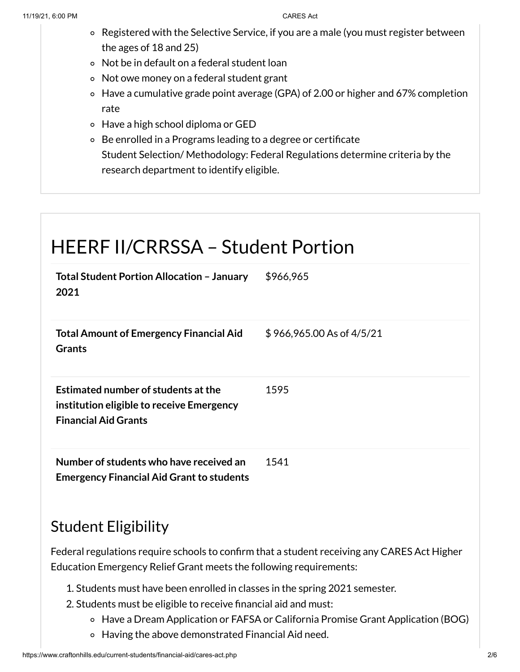- Registered with the Selective Service, if you are a male (you must register between the ages of 18 and 25)
- Not be in default on a federal student loan
- Not owe money on a federal student grant
- Have a cumulative grade point average (GPA) of 2.00 or higher and 67% completion rate
- Have a high school diploma or GED
- Be enrolled in a Programs leading to a degree or certificate Student Selection/ Methodology: Federal Regulations determine criteria by the research department to identify eligible.

### HEERF II/CRRSSA – Student Portion **Total Student Portion Allocation – January 2021** \$966,965 **Total Amount of Emergency Financial Aid Grants** \$ 966,965.00 As of 4/5/21 **Estimated number of students atthe institution eligible to receive Emergency Financial Aid Grants** 1595 **Number of students who have received an Emergency Financial Aid Grant to students** 1541

#### Student Eligibility

Federal regulations require schools to confirm that a student receiving any CARES Act Higher Education Emergency Relief Grant meets the following requirements:

- 1. Students must have been enrolled in classes in the spring 2021 semester.
- 2. Students must be eligible to receive financial aid and must:
	- Have a Dream Application or FAFSA or California Promise Grant Application (BOG)
	- Having the above demonstrated Financial Aid need.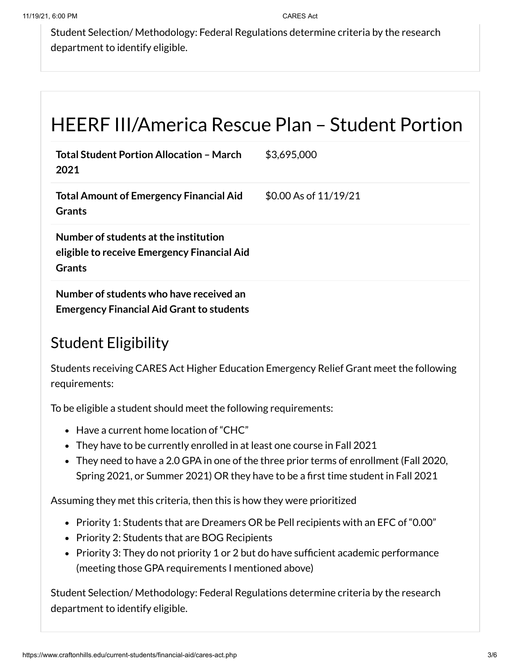Student Selection/ Methodology: Federal Regulations determine criteria by the research department to identify eligible.

# HEERF III/America Rescue Plan – Student Portion

| <b>Total Student Portion Allocation - March</b><br>2021                                               | \$3,695,000           |
|-------------------------------------------------------------------------------------------------------|-----------------------|
| <b>Total Amount of Emergency Financial Aid</b><br><b>Grants</b>                                       | \$0.00 As of 11/19/21 |
| Number of students at the institution<br>eligible to receive Emergency Financial Aid<br><b>Grants</b> |                       |
| Number of students who have received an<br><b>Emergency Financial Aid Grant to students</b>           |                       |

### Student Eligibility

Students receiving CARES Act Higher Education Emergency Relief Grant meet the following requirements:

To be eligible a student should meet the following requirements:

- Have a current home location of "CHC"
- They have to be currently enrolled in at least one course in Fall 2021
- They need to have a 2.0 GPA in one of the three prior terms of enrollment (Fall 2020, Spring 2021, or Summer 2021) OR they have to be a first time student in Fall 2021

Assuming they met this criteria, then this is how they were prioritized

- Priority 1: Students that are Dreamers OR be Pell recipients with an EFC of "0.00"
- Priority 2: Students that are BOG Recipients
- Priority 3: They do not priority 1 or 2 but do have sufficient academic performance (meeting those GPA requirements I mentioned above)

Student Selection/ Methodology: Federal Regulations determine criteria by the research department to identify eligible.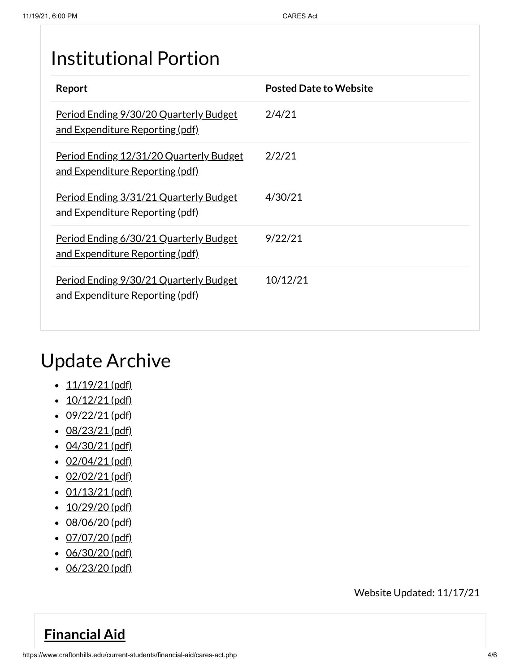## Institutional Portion

| Report                                                                                  | <b>Posted Date to Website</b> |
|-----------------------------------------------------------------------------------------|-------------------------------|
| Period Ending 9/30/20 Quarterly Budget<br><u>and Expenditure Reporting (pdf)</u>        | 2/4/21                        |
| Period Ending 12/31/20 Quarterly Budget<br><u>and Expenditure Reporting (pdf)</u>       | 2/2/21                        |
| Period Ending 3/31/21 Quarterly Budget<br><u>and Expenditure Reporting (pdf)</u>        | 4/30/21                       |
| Period Ending 6/30/21 Quarterly Budget<br>and Expenditure Reporting (pdf)               | 9/22/21                       |
| <u>Period Ending 9/30/21 Quarterly Budget</u><br><u>and Expenditure Reporting (pdf)</u> | 10/12/21                      |

## Update Archive

- $\cdot$  [11/19/21](https://www.craftonhills.edu/current-students/financial-aid/documents/cares-act-page-11-19-21.pdf) (pdf)
- $\cdot$  [10/12/21](https://www.craftonhills.edu/current-students/financial-aid/documents/cares-act-page-10-12-21.pdf) (pdf)
- $\cdot$  [09/22/21](https://www.craftonhills.edu/current-students/financial-aid/documents/cares-act-page-9-22-21.pdf) (pdf)
- [08/23/21](https://www.craftonhills.edu/current-students/financial-aid/documents/cares-act-page-8-23-21.pdf) (pdf)
- $\cdot$  [04/30/21](https://www.craftonhills.edu/current-students/financial-aid/documents/casres-act-page-4-30-21.pdf) (pdf)
- $\cdot$  [02/04/21](https://www.craftonhills.edu/current-students/financial-aid/documents/cares-act-page-2-4-21.pdf) (pdf)
- $\cdot$  [02/02/21](https://www.craftonhills.edu/current-students/financial-aid/documents/cares-act-page-2-2-21.pdf) (pdf)
- $\cdot$  [01/13/21](https://www.craftonhills.edu/current-students/financial-aid/documents/cares-act-page-1-13-21.pdf) (pdf)
- $\cdot$  [10/29/20](https://www.craftonhills.edu/current-students/financial-aid/documents/cares-act-page-10-29-20.pdf) (pdf)
- [08/06/20](https://www.craftonhills.edu/current-students/financial-aid/documents/casre-act-page-8-6-20.pdf) (pdf)
- $\cdot$  [07/07/20](https://www.craftonhills.edu/current-students/financial-aid/documents/cares-act-page-7-7-20.pdf) (pdf)
- [06/30/20](https://www.craftonhills.edu/current-students/financial-aid/documents/cares-act-page-6-30-20.pdf) (pdf)
- [06/23/20](https://www.craftonhills.edu/current-students/financial-aid/documents/cares-act-page-6-23-20.pdf) (pdf)

Website Updated: 11/17/21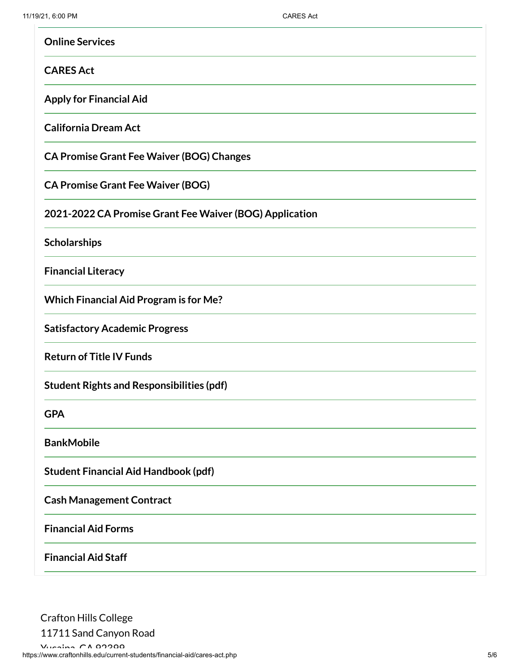| <b>Online Services</b>                                  |
|---------------------------------------------------------|
| <b>CARES Act</b>                                        |
| <b>Apply for Financial Aid</b>                          |
| <b>California Dream Act</b>                             |
| <b>CA Promise Grant Fee Waiver (BOG) Changes</b>        |
| <b>CA Promise Grant Fee Waiver (BOG)</b>                |
| 2021-2022 CA Promise Grant Fee Waiver (BOG) Application |
| Scholarships                                            |
| <b>Financial Literacy</b>                               |
| <b>Which Financial Aid Program is for Me?</b>           |
| <b>Satisfactory Academic Progress</b>                   |
| <b>Return of Title IV Funds</b>                         |
| <b>Student Rights and Responsibilities (pdf)</b>        |
| <b>GPA</b>                                              |
| <b>BankMobile</b>                                       |
| <b>Student Financial Aid Handbook (pdf)</b>             |
| <b>Cash Management Contract</b>                         |
| <b>Financial Aid Forms</b>                              |
| <b>Financial Aid Staff</b>                              |